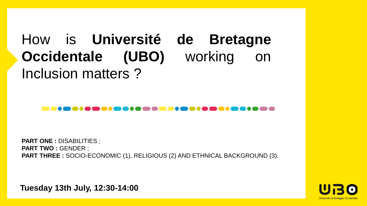# How is **Université de Bretagne Occidentale (UBO)** working on Inclusion matters ?

**PART ONE :** DISABILITIES ; **PART TWO : GENDER ; PART THREE :** SOCIO-ECONOMIC (1), RELIGIOUS (2) AND ETHNICAL BACKGROUND (3).

**Tuesday 13th July, 12:30-14:00**

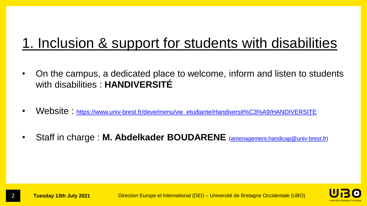## 1. Inclusion & support for students with disabilities

- On the campus, a dedicated place to welcome, inform and listen to students with disabilities : **HANDIVERSITÉ**
- Website: [https://www.univ-brest.fr/deve/menu/vie\\_etudiante/Handiversit%C3%A9/HANDIVERSITE](https://www.univ-brest.fr/deve/menu/vie_etudiante/Handiversit%C3%A9/HANDIVERSITE)
- Staff in charge : **M. Abdelkader BOUDARENE** ([amenagement.handicap@univ-brest.fr](mailto:amenagement.handicap@univ-brest.fr))

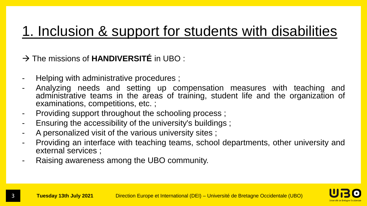#### 1. Inclusion & support for students with disabilities

→ The missions of **HANDIVERSITÉ** in UBO :

- Helping with administrative procedures ;
- Analyzing needs and setting up compensation measures with teaching and administrative teams in the areas of training, student life and the organization of examinations, competitions, etc. ;
- Providing support throughout the schooling process ;
- Ensuring the accessibility of the university's buildings ;
- A personalized visit of the various university sites ;
- Providing an interface with teaching teams, school departments, other university and external services ;
- Raising awareness among the UBO community.

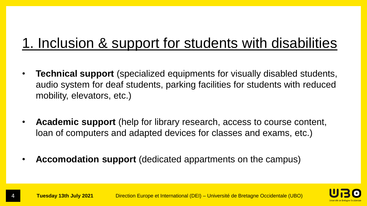### 1. Inclusion & support for students with disabilities

- **Technical support** (specialized equipments for visually disabled students, audio system for deaf students, parking facilities for students with reduced mobility, elevators, etc.)
- **Academic support** (help for library research, access to course content, loan of computers and adapted devices for classes and exams, etc.)
- **Accomodation support** (dedicated appartments on the campus)



4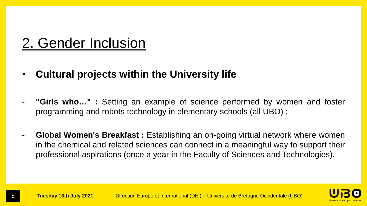#### 2. Gender Inclusion

5

- **Cultural projects within the University life**
- **"Girls who..."** : Setting an example of science performed by women and foster programming and robots technology in elementary schools (all UBO) ;
- **Global Women's Breakfast :** Establishing an on-going virtual network where women in the chemical and related sciences can connect in a meaningful way to support their professional aspirations (once a year in the Faculty of Sciences and Technologies).

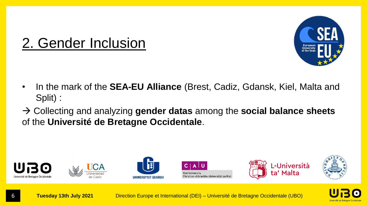

#### 2. Gender Inclusion

- In the mark of the **SEA-EU Alliance** (Brest, Cadiz, Gdansk, Kiel, Malta and Split) :
- Collecting and analyzing **gender datas** among the **social balance sheets** of the **Université de Bretagne Occidentale**.



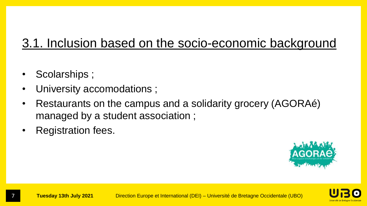#### 3.1. Inclusion based on the socio-economic background

- Scolarships ;
- University accomodations;
- Restaurants on the campus and a solidarity grocery (AGORAé) managed by a student association ;
- Registration fees.



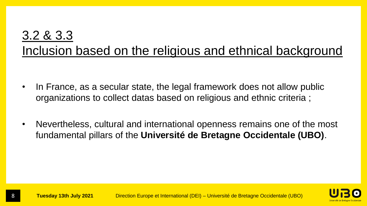#### 3.2 & 3.3 Inclusion based on the religious and ethnical background

- In France, as a secular state, the legal framework does not allow public organizations to collect datas based on religious and ethnic criteria ;
- Nevertheless, cultural and international openness remains one of the most fundamental pillars of the **Université de Bretagne Occidentale (UBO)**.



8